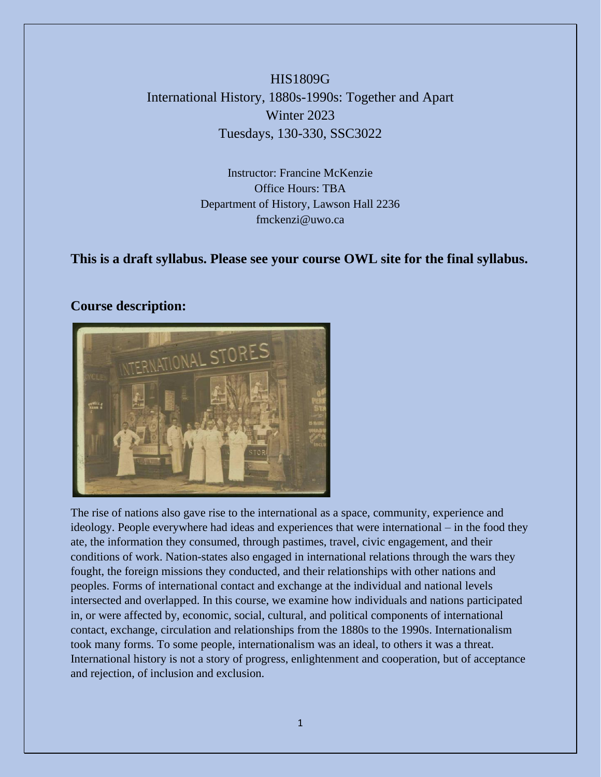# HIS1809G International History, 1880s-1990s: Together and Apart Winter 2023 Tuesdays, 130-330, SSC3022

Instructor: Francine McKenzie Office Hours: TBA Department of History, Lawson Hall 2236 fmckenzi@uwo.ca

### **This is a draft syllabus. Please see your course OWL site for the final syllabus.**

### **Course description:**



The rise of nations also gave rise to the international as a space, community, experience and ideology. People everywhere had ideas and experiences that were international – in the food they ate, the information they consumed, through pastimes, travel, civic engagement, and their conditions of work. Nation-states also engaged in international relations through the wars they fought, the foreign missions they conducted, and their relationships with other nations and peoples. Forms of international contact and exchange at the individual and national levels intersected and overlapped. In this course, we examine how individuals and nations participated in, or were affected by, economic, social, cultural, and political components of international contact, exchange, circulation and relationships from the 1880s to the 1990s. Internationalism took many forms. To some people, internationalism was an ideal, to others it was a threat. International history is not a story of progress, enlightenment and cooperation, but of acceptance and rejection, of inclusion and exclusion.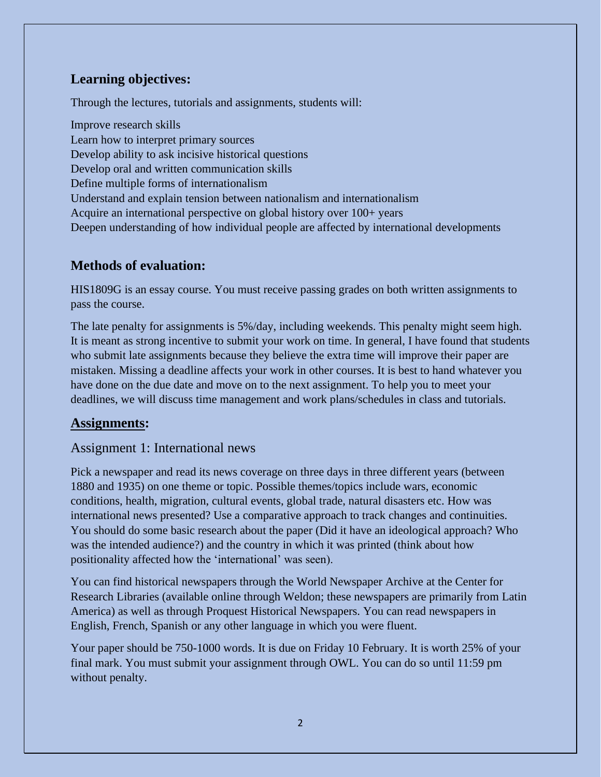# **Learning objectives:**

Through the lectures, tutorials and assignments, students will:

Improve research skills Learn how to interpret primary sources Develop ability to ask incisive historical questions Develop oral and written communication skills Define multiple forms of internationalism Understand and explain tension between nationalism and internationalism Acquire an international perspective on global history over 100+ years Deepen understanding of how individual people are affected by international developments

# **Methods of evaluation:**

HIS1809G is an essay course. You must receive passing grades on both written assignments to pass the course.

The late penalty for assignments is 5%/day, including weekends. This penalty might seem high. It is meant as strong incentive to submit your work on time. In general, I have found that students who submit late assignments because they believe the extra time will improve their paper are mistaken. Missing a deadline affects your work in other courses. It is best to hand whatever you have done on the due date and move on to the next assignment. To help you to meet your deadlines, we will discuss time management and work plans/schedules in class and tutorials.

### **Assignments:**

### Assignment 1: International news

Pick a newspaper and read its news coverage on three days in three different years (between 1880 and 1935) on one theme or topic. Possible themes/topics include wars, economic conditions, health, migration, cultural events, global trade, natural disasters etc. How was international news presented? Use a comparative approach to track changes and continuities. You should do some basic research about the paper (Did it have an ideological approach? Who was the intended audience?) and the country in which it was printed (think about how positionality affected how the 'international' was seen).

You can find historical newspapers through the World Newspaper Archive at the Center for Research Libraries (available online through Weldon; these newspapers are primarily from Latin America) as well as through Proquest Historical Newspapers. You can read newspapers in English, French, Spanish or any other language in which you were fluent.

Your paper should be 750-1000 words. It is due on Friday 10 February. It is worth 25% of your final mark. You must submit your assignment through OWL. You can do so until 11:59 pm without penalty.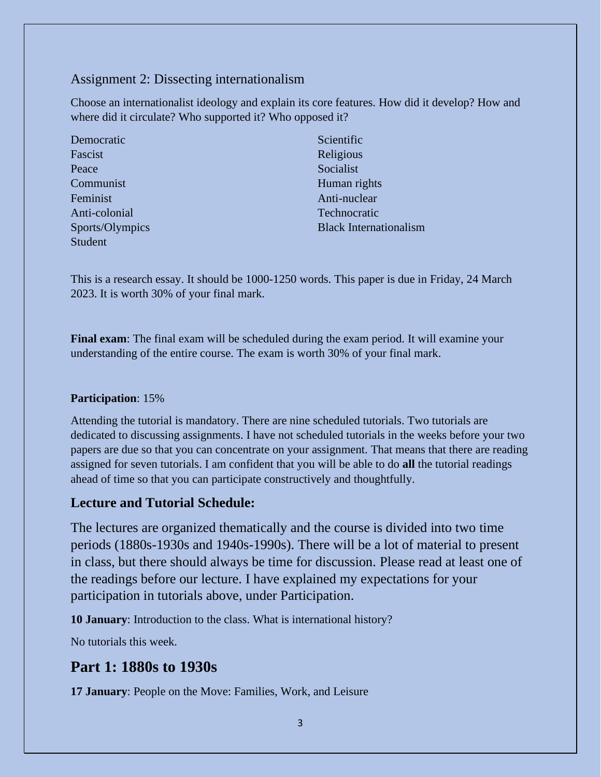## Assignment 2: Dissecting internationalism

Choose an internationalist ideology and explain its core features. How did it develop? How and where did it circulate? Who supported it? Who opposed it?

| Democratic      | Scientific                    |
|-----------------|-------------------------------|
| Fascist         | Religious                     |
| Peace           | Socialist                     |
| Communist       | Human rights                  |
| Feminist        | Anti-nuclear                  |
| Anti-colonial   | Technocratic                  |
| Sports/Olympics | <b>Black Internationalism</b> |
| Student         |                               |

This is a research essay. It should be 1000-1250 words. This paper is due in Friday, 24 March 2023. It is worth 30% of your final mark.

**Final exam**: The final exam will be scheduled during the exam period. It will examine your understanding of the entire course. The exam is worth 30% of your final mark.

### **Participation**: 15%

Attending the tutorial is mandatory. There are nine scheduled tutorials. Two tutorials are dedicated to discussing assignments. I have not scheduled tutorials in the weeks before your two papers are due so that you can concentrate on your assignment. That means that there are reading assigned for seven tutorials. I am confident that you will be able to do **all** the tutorial readings ahead of time so that you can participate constructively and thoughtfully.

### **Lecture and Tutorial Schedule:**

The lectures are organized thematically and the course is divided into two time periods (1880s-1930s and 1940s-1990s). There will be a lot of material to present in class, but there should always be time for discussion. Please read at least one of the readings before our lecture. I have explained my expectations for your participation in tutorials above, under Participation.

**10 January**: Introduction to the class. What is international history?

No tutorials this week.

# **Part 1: 1880s to 1930s**

**17 January**: People on the Move: Families, Work, and Leisure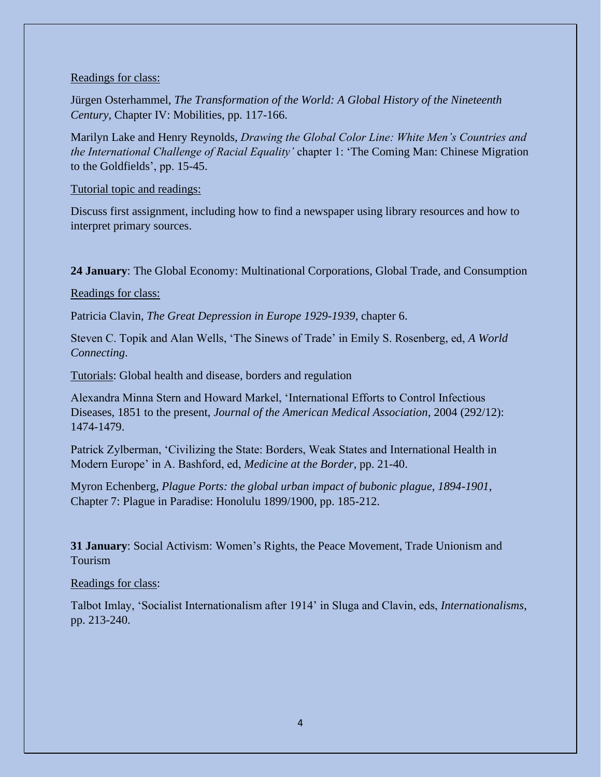#### Readings for class:

Jürgen Osterhammel, *The Transformation of the World: A Global History of the Nineteenth Century*, Chapter IV: Mobilities, pp. 117-166.

Marilyn Lake and Henry Reynolds, *Drawing the Global Color Line: White Men's Countries and the International Challenge of Racial Equality'* chapter 1: 'The Coming Man: Chinese Migration to the Goldfields', pp. 15-45.

#### Tutorial topic and readings:

Discuss first assignment, including how to find a newspaper using library resources and how to interpret primary sources.

**24 January**: The Global Economy: Multinational Corporations, Global Trade, and Consumption

#### Readings for class:

Patricia Clavin, *The Great Depression in Europe 1929-1939*, chapter 6.

Steven C. Topik and Alan Wells, 'The Sinews of Trade' in Emily S. Rosenberg, ed, *A World Connecting*.

Tutorials: Global health and disease, borders and regulation

Alexandra Minna Stern and Howard Markel, 'International Efforts to Control Infectious Diseases, 1851 to the present, *Journal of the American Medical Association*, 2004 (292/12): 1474-1479.

Patrick Zylberman, 'Civilizing the State: Borders, Weak States and International Health in Modern Europe' in A. Bashford, ed, *Medicine at the Border*, pp. 21-40.

Myron Echenberg, *Plague Ports: the global urban impact of bubonic plague, 1894-1901*, Chapter 7: Plague in Paradise: Honolulu 1899/1900, pp. 185-212.

**31 January**: Social Activism: Women's Rights, the Peace Movement, Trade Unionism and Tourism

#### Readings for class:

Talbot Imlay, 'Socialist Internationalism after 1914' in Sluga and Clavin, eds, *Internationalisms*, pp. 213-240.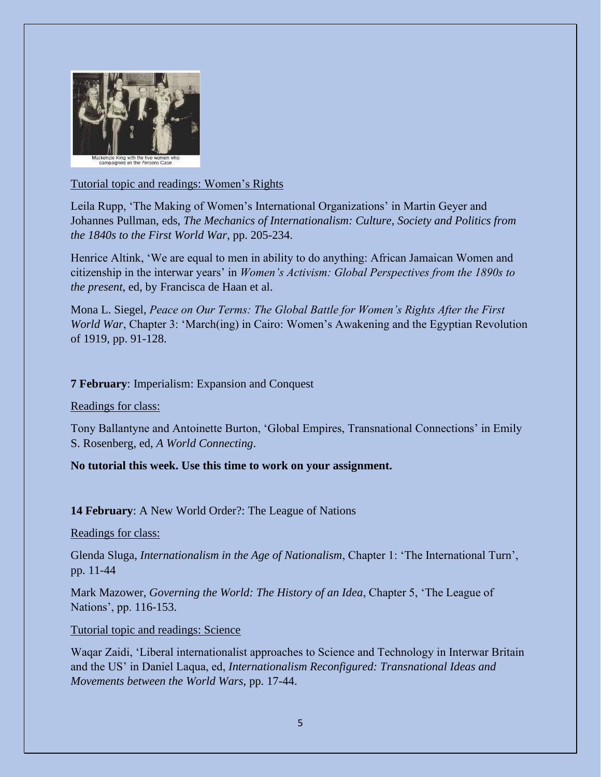

#### Tutorial topic and readings: Women's Rights

Leila Rupp, 'The Making of Women's International Organizations' in Martin Geyer and Johannes Pullman, eds, *The Mechanics of Internationalism: Culture, Society and Politics from the 1840s to the First World War*, pp. 205-234.

Henrice Altink, 'We are equal to men in ability to do anything: African Jamaican Women and citizenship in the interwar years' in *Women's Activism: Global Perspectives from the 1890s to the present*, ed, by Francisca de Haan et al.

Mona L. Siegel, *Peace on Our Terms: The Global Battle for Women's Rights After the First World War*, Chapter 3: 'March(ing) in Cairo: Women's Awakening and the Egyptian Revolution of 1919, pp. 91-128.

#### **7 February**: Imperialism: Expansion and Conquest

Readings for class:

Tony Ballantyne and Antoinette Burton, 'Global Empires, Transnational Connections' in Emily S. Rosenberg, ed, *A World Connecting*.

### **No tutorial this week. Use this time to work on your assignment.**

**14 February**: A New World Order?: The League of Nations

Readings for class:

Glenda Sluga, *Internationalism in the Age of Nationalism*, Chapter 1: 'The International Turn', pp. 11-44

Mark Mazower, *Governing the World: The History of an Idea*, Chapter 5, 'The League of Nations', pp. 116-153.

Tutorial topic and readings: Science

Waqar Zaidi, 'Liberal internationalist approaches to Science and Technology in Interwar Britain and the US' in Daniel Laqua, ed, *Internationalism Reconfigured: Transnational Ideas and Movements between the World Wars*, pp. 17-44.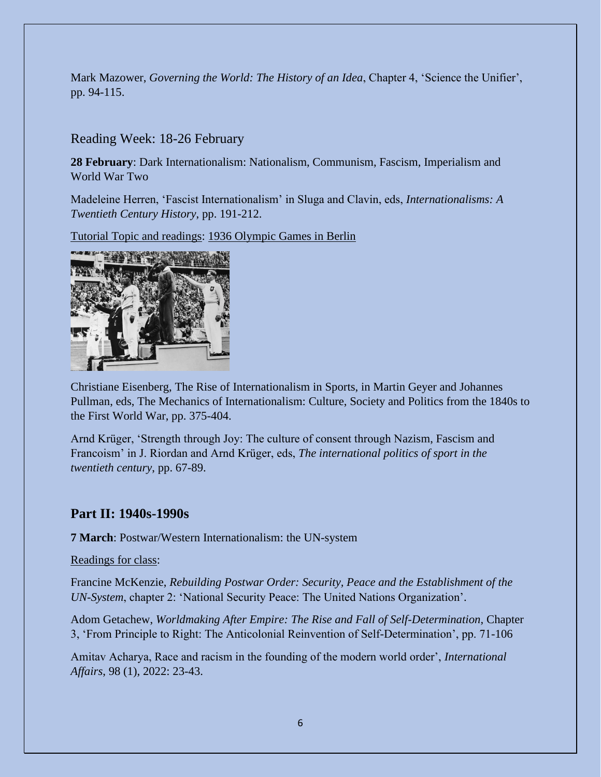Mark Mazower, *Governing the World: The History of an Idea*, Chapter 4, 'Science the Unifier', pp. 94-115.

### Reading Week: 18-26 February

**28 February**: Dark Internationalism: Nationalism, Communism, Fascism, Imperialism and World War Two

Madeleine Herren, 'Fascist Internationalism' in Sluga and Clavin, eds, *Internationalisms: A Twentieth Century History*, pp. 191-212.

Tutorial Topic and readings: 1936 Olympic Games in Berlin



Christiane Eisenberg, The Rise of Internationalism in Sports, in Martin Geyer and Johannes Pullman, eds, The Mechanics of Internationalism: Culture, Society and Politics from the 1840s to the First World War, pp. 375-404.

Arnd Krüger, 'Strength through Joy: The culture of consent through Nazism, Fascism and Francoism' in J. Riordan and Arnd Krüger, eds, *The international politics of sport in the twentieth century*, pp. 67-89.

# **Part II: 1940s-1990s**

**7 March**: Postwar/Western Internationalism: the UN-system

Readings for class:

Francine McKenzie, *Rebuilding Postwar Order: Security, Peace and the Establishment of the UN-System*, chapter 2: 'National Security Peace: The United Nations Organization'.

Adom Getachew, *Worldmaking After Empire: The Rise and Fall of Self-Determination*, Chapter 3, 'From Principle to Right: The Anticolonial Reinvention of Self-Determination', pp. 71-106

Amitav Acharya, Race and racism in the founding of the modern world order', *International Affairs*, 98 (1), 2022: 23-43.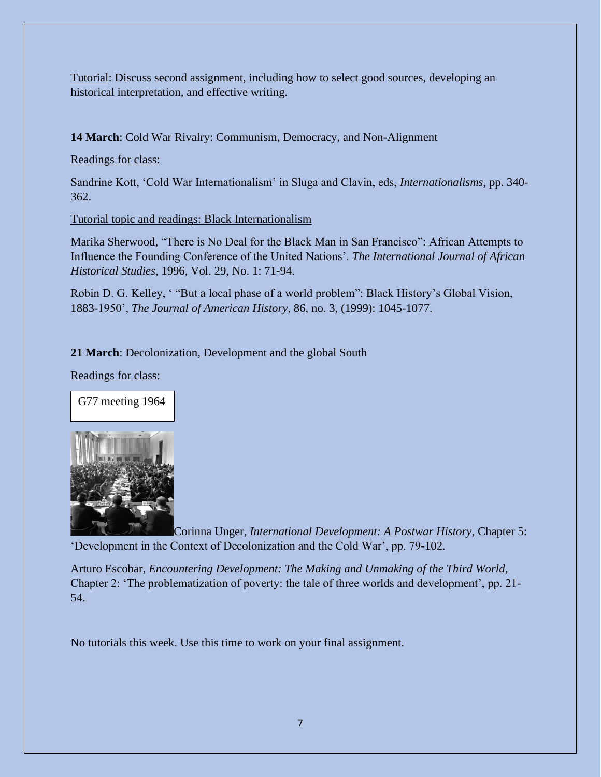Tutorial: Discuss second assignment, including how to select good sources, developing an historical interpretation, and effective writing.

**14 March**: Cold War Rivalry: Communism, Democracy, and Non-Alignment

Readings for class:

Sandrine Kott, 'Cold War Internationalism' in Sluga and Clavin, eds, *Internationalisms*, pp. 340- 362.

Tutorial topic and readings: Black Internationalism

Marika Sherwood, "There is No Deal for the Black Man in San Francisco": African Attempts to Influence the Founding Conference of the United Nations'. *The International Journal of African Historical Studies*, 1996, Vol. 29, No. 1: 71-94.

Robin D. G. Kelley, ' "But a local phase of a world problem": Black History's Global Vision, 1883-1950', *The Journal of American History*, 86, no. 3, (1999): 1045-1077.

### **21 March**: Decolonization, Development and the global South

Readings for class:

G77 meeting 1964



Corinna Unger, *International Development: A Postwar History*, Chapter 5: 'Development in the Context of Decolonization and the Cold War', pp. 79-102.

Arturo Escobar, *Encountering Development: The Making and Unmaking of the Third World*, Chapter 2: 'The problematization of poverty: the tale of three worlds and development', pp. 21- 54.

No tutorials this week. Use this time to work on your final assignment.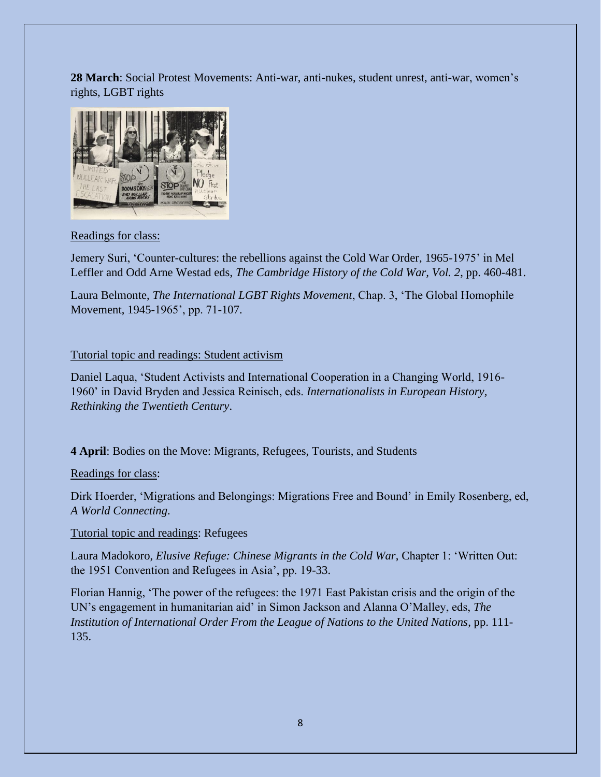**28 March**: Social Protest Movements: Anti-war, anti-nukes, student unrest, anti-war, women's rights, LGBT rights



#### Readings for class:

Jemery Suri, 'Counter-cultures: the rebellions against the Cold War Order, 1965-1975' in Mel Leffler and Odd Arne Westad eds, *The Cambridge History of the Cold War, Vol. 2*, pp. 460-481.

Laura Belmonte, *The International LGBT Rights Movement*, Chap. 3, 'The Global Homophile Movement, 1945-1965', pp. 71-107.

#### Tutorial topic and readings: Student activism

Daniel Laqua, 'Student Activists and International Cooperation in a Changing World, 1916- 1960' in David Bryden and Jessica Reinisch, eds. *Internationalists in European History, Rethinking the Twentieth Century*.

### **4 April**: Bodies on the Move: Migrants, Refugees, Tourists, and Students

### Readings for class:

Dirk Hoerder, 'Migrations and Belongings: Migrations Free and Bound' in Emily Rosenberg, ed, *A World Connecting*.

#### Tutorial topic and readings: Refugees

Laura Madokoro, *Elusive Refuge: Chinese Migrants in the Cold War*, Chapter 1: 'Written Out: the 1951 Convention and Refugees in Asia', pp. 19-33.

Florian Hannig, 'The power of the refugees: the 1971 East Pakistan crisis and the origin of the UN's engagement in humanitarian aid' in Simon Jackson and Alanna O'Malley, eds, *The Institution of International Order From the League of Nations to the United Nations*, pp. 111- 135.